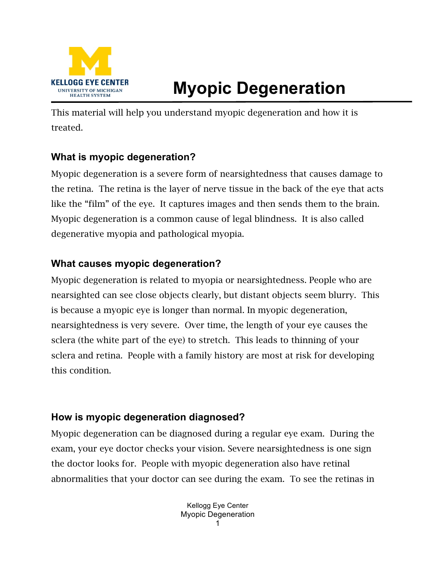

# **Myopic Degeneration**

This material will help you understand myopic degeneration and how it is treated.

# **What is myopic degeneration?**

Myopic degeneration is a severe form of nearsightedness that causes damage to the retina. The retina is the layer of nerve tissue in the back of the eye that acts like the "film" of the eye. It captures images and then sends them to the brain. Myopic degeneration is a common cause of legal blindness. It is also called degenerative myopia and pathological myopia.

#### **What causes myopic degeneration?**

Myopic degeneration is related to myopia or nearsightedness. People who are nearsighted can see close objects clearly, but distant objects seem blurry. This is because a myopic eye is longer than normal. In myopic degeneration, nearsightedness is very severe. Over time, the length of your eye causes the sclera (the white part of the eye) to stretch. This leads to thinning of your sclera and retina. People with a family history are most at risk for developing this condition.

# **How is myopic degeneration diagnosed?**

Myopic degeneration can be diagnosed during a regular eye exam. During the exam, your eye doctor checks your vision. Severe nearsightedness is one sign the doctor looks for. People with myopic degeneration also have retinal abnormalities that your doctor can see during the exam. To see the retinas in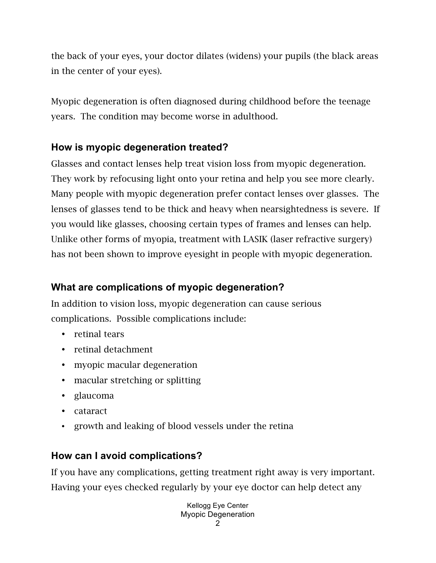the back of your eyes, your doctor dilates (widens) your pupils (the black areas in the center of your eyes).

Myopic degeneration is often diagnosed during childhood before the teenage years. The condition may become worse in adulthood.

#### **How is myopic degeneration treated?**

Glasses and contact lenses help treat vision loss from myopic degeneration. They work by refocusing light onto your retina and help you see more clearly. Many people with myopic degeneration prefer contact lenses over glasses. The lenses of glasses tend to be thick and heavy when nearsightedness is severe. If you would like glasses, choosing certain types of frames and lenses can help. Unlike other forms of myopia, treatment with LASIK (laser refractive surgery) has not been shown to improve eyesight in people with myopic degeneration.

#### **What are complications of myopic degeneration?**

In addition to vision loss, myopic degeneration can cause serious complications. Possible complications include:

- retinal tears
- retinal detachment
- myopic macular degeneration
- macular stretching or splitting
- glaucoma
- cataract
- growth and leaking of blood vessels under the retina

# **How can I avoid complications?**

If you have any complications, getting treatment right away is very important. Having your eyes checked regularly by your eye doctor can help detect any

> Kellogg Eye Center Myopic Degeneration  $\mathfrak{D}$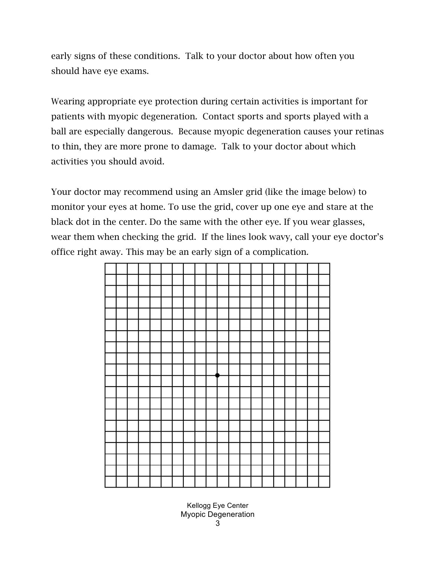early signs of these conditions. Talk to your doctor about how often you should have eye exams.

Wearing appropriate eye protection during certain activities is important for patients with myopic degeneration. Contact sports and sports played with a ball are especially dangerous. Because myopic degeneration causes your retinas to thin, they are more prone to damage. Talk to your doctor about which activities you should avoid.

Your doctor may recommend using an Amsler grid (like the image below) to monitor your eyes at home. To use the grid, cover up one eye and stare at the black dot in the center. Do the same with the other eye. If you wear glasses, wear them when checking the grid. If the lines look wavy, call your eye doctor's office right away. This may be an early sign of a complication.



Kellogg Eye Center Myopic Degeneration 3